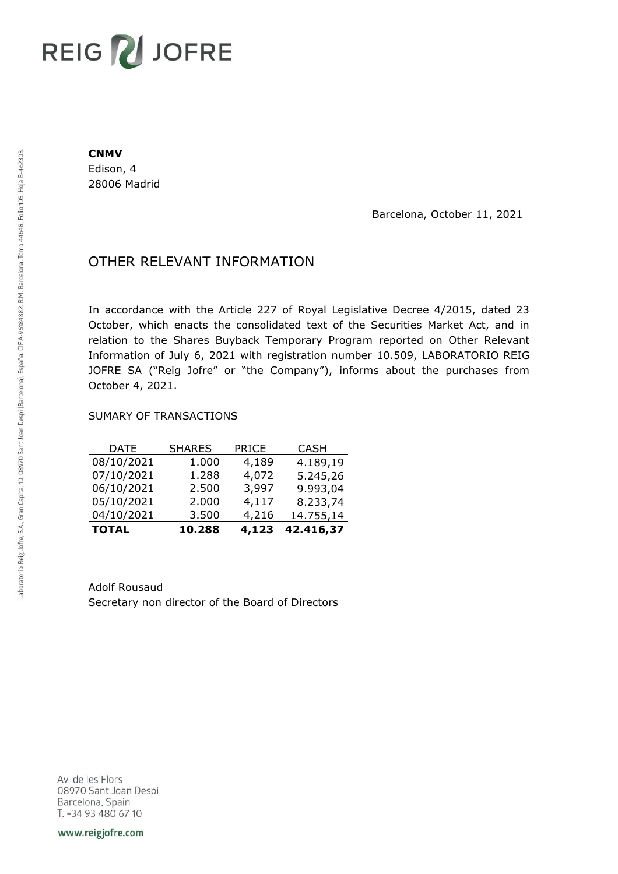# REIG V JOFRE

#### **CNMV**

Edison, 4 28006 Madrid

Barcelona, October 11, 2021

## OTHER RELEVANT INFORMATION

In accordance with the Article 227 of Royal Legislative Decree 4/2015, dated 23 October, which enacts the consolidated text of the Securities Market Act, and in relation to the Shares Buyback Temporary Program reported on Other Relevant Information of July 6, 2021 with registration number 10.509, LABORATORIO REIG JOFRE SA ("Reig Jofre" or "the Company"), informs about the purchases from October 4, 2021.

### SUMARY OF TRANSACTIONS

| <b>TOTAL</b> | 10.288        | 4,123        | 42.416,37   |
|--------------|---------------|--------------|-------------|
| 04/10/2021   | 3.500         | 4,216        | 14.755,14   |
| 05/10/2021   | 2.000         | 4,117        | 8.233,74    |
| 06/10/2021   | 2.500         | 3,997        | 9.993,04    |
| 07/10/2021   | 1.288         | 4,072        | 5.245,26    |
| 08/10/2021   | 1.000         | 4,189        | 4.189,19    |
| DATE         | <b>SHARES</b> | <b>PRICE</b> | <b>CASH</b> |

Adolf Rousaud Secretary non director of the Board of Directors

Av. de les Flors 08970 Sant Joan Despi Barcelona, Spain T. +34 93 480 67 10

www.reigjofre.com